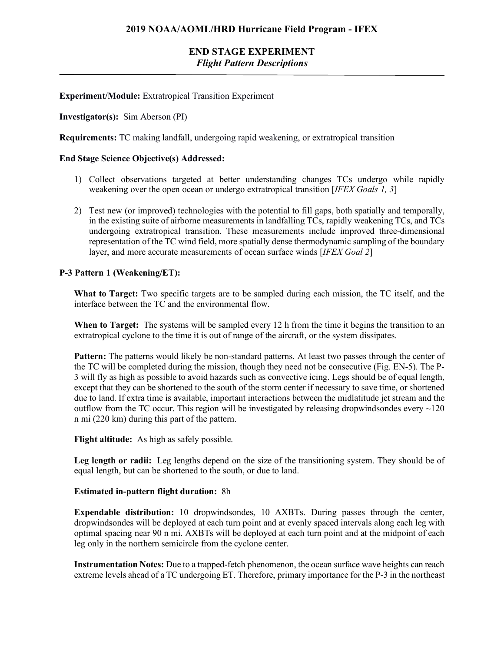# **END STAGE EXPERIMENT** *Flight Pattern Descriptions*

## **Experiment/Module:** Extratropical Transition Experiment

## **Investigator(s):** Sim Aberson (PI)

**Requirements:** TC making landfall, undergoing rapid weakening, or extratropical transition

## **End Stage Science Objective(s) Addressed:**

- 1) Collect observations targeted at better understanding changes TCs undergo while rapidly weakening over the open ocean or undergo extratropical transition [*IFEX Goals 1, 3*]
- 2) Test new (or improved) technologies with the potential to fill gaps, both spatially and temporally, in the existing suite of airborne measurements in landfalling TCs, rapidly weakening TCs, and TCs undergoing extratropical transition. These measurements include improved three-dimensional representation of the TC wind field, more spatially dense thermodynamic sampling of the boundary layer, and more accurate measurements of ocean surface winds [*IFEX Goal 2*]

## **P-3 Pattern 1 (Weakening/ET):**

**What to Target:** Two specific targets are to be sampled during each mission, the TC itself, and the interface between the TC and the environmental flow.

**When to Target:** The systems will be sampled every 12 h from the time it begins the transition to an extratropical cyclone to the time it is out of range of the aircraft, or the system dissipates.

**Pattern:** The patterns would likely be non-standard patterns. At least two passes through the center of the TC will be completed during the mission, though they need not be consecutive (Fig. EN-5). The P-3 will fly as high as possible to avoid hazards such as convective icing. Legs should be of equal length, except that they can be shortened to the south of the storm center if necessary to save time, or shortened due to land. If extra time is available, important interactions between the midlatitude jet stream and the outflow from the TC occur. This region will be investigated by releasing dropwindsondes every  $\sim$ 120 n mi (220 km) during this part of the pattern.

## **Flight altitude:** As high as safely possible.

**Leg length or radii:** Leg lengths depend on the size of the transitioning system. They should be of equal length, but can be shortened to the south, or due to land.

#### **Estimated in-pattern flight duration:** 8h

**Expendable distribution:** 10 dropwindsondes, 10 AXBTs. During passes through the center, dropwindsondes will be deployed at each turn point and at evenly spaced intervals along each leg with optimal spacing near 90 n mi. AXBTs will be deployed at each turn point and at the midpoint of each leg only in the northern semicircle from the cyclone center.

**Instrumentation Notes:** Due to a trapped-fetch phenomenon, the ocean surface wave heights can reach extreme levels ahead of a TC undergoing ET. Therefore, primary importance for the P-3 in the northeast